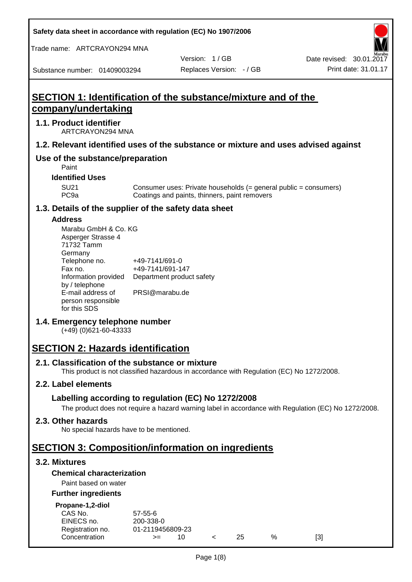**Safety data sheet in accordance with regulation (EC) No 1907/2006**

Trade name: ARTCRAYON294 MNA

Version: 1 / GB

Substance number: 01409003294

# **SECTION 1: Identification of the substance/mixture and of the company/undertaking**

#### **1.1. Product identifier**

ARTCRAYON294 MNA

#### **1.2. Relevant identified uses of the substance or mixture and uses advised against**

## **Use of the substance/preparation**

Paint

**Identified Uses**

SU21 Consumer uses: Private households (= general public = consumers)<br>PC9a Coatings and paints, thinners, paint removers Coatings and paints, thinners, paint removers

#### **1.3. Details of the supplier of the safety data sheet**

#### **Address**

| Marabu GmbH & Co. KG |                           |
|----------------------|---------------------------|
| Asperger Strasse 4   |                           |
| 71732 Tamm           |                           |
| Germany              |                           |
| Telephone no.        | +49-7141/691-0            |
| Fax no.              | +49-7141/691-147          |
| Information provided | Department product safety |
| by / telephone       |                           |
| E-mail address of    | PRSI@marabu.de            |
| person responsible   |                           |
| for this SDS         |                           |

## **1.4. Emergency telephone number**

(+49) (0)621-60-43333

# **SECTION 2: Hazards identification**

#### **2.1. Classification of the substance or mixture**

This product is not classified hazardous in accordance with Regulation (EC) No 1272/2008.

## **2.2. Label elements**

## **Labelling according to regulation (EC) No 1272/2008**

The product does not require a hazard warning label in accordance with Regulation (EC) No 1272/2008.

#### **2.3. Other hazards**

No special hazards have to be mentioned.

## **SECTION 3: Composition/information on ingredients**

## **3.2. Mixtures**

## **Chemical characterization**

## Paint based on water

#### **Further ingredients**

| Propane-1,2-diol |  |
|------------------|--|
|                  |  |

| CAS No.          | $57 - 55 - 6$    |     |     |   |     |
|------------------|------------------|-----|-----|---|-----|
| EINECS no.       | 200-338-0        |     |     |   |     |
| Registration no. | 01-2119456809-23 |     |     |   |     |
| Concentration    | $>=$             | 10. | 25. | % | [3] |
|                  |                  |     |     |   |     |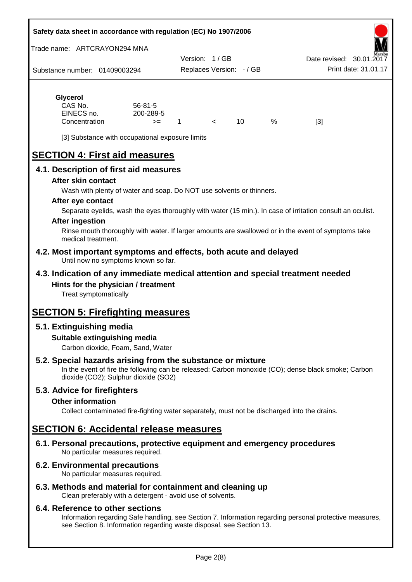#### **Safety data sheet in accordance with regulation (EC) No 1907/2006**

Trade name: ARTCRAYON294 MNA

Substance number: 01409003294 Version: 1 / GB Replaces Version: - / GB Print date: 31.01.17 Date revised: 30.01.2

## **Glycerol** CAS No. 56-81-5

| CAS No.       | 56-81-5   |  |   |     |
|---------------|-----------|--|---|-----|
| EINECS no.    | 200-289-5 |  |   |     |
| Concentration | $>=$      |  | % | [3] |

[3] Substance with occupational exposure limits

# **SECTION 4: First aid measures**

## **4.1. Description of first aid measures**

#### **After skin contact**

Wash with plenty of water and soap. Do NOT use solvents or thinners.

#### **After eye contact**

Separate eyelids, wash the eyes thoroughly with water (15 min.). In case of irritation consult an oculist.

#### **After ingestion**

Rinse mouth thoroughly with water. If larger amounts are swallowed or in the event of symptoms take medical treatment.

#### **4.2. Most important symptoms and effects, both acute and delayed** Until now no symptoms known so far.

## **4.3. Indication of any immediate medical attention and special treatment needed Hints for the physician / treatment**

Treat symptomatically

## **SECTION 5: Firefighting measures**

## **5.1. Extinguishing media**

## **Suitable extinguishing media**

Carbon dioxide, Foam, Sand, Water

## **5.2. Special hazards arising from the substance or mixture**

In the event of fire the following can be released: Carbon monoxide (CO); dense black smoke; Carbon dioxide (CO2); Sulphur dioxide (SO2)

## **5.3. Advice for firefighters**

#### **Other information**

Collect contaminated fire-fighting water separately, must not be discharged into the drains.

## **SECTION 6: Accidental release measures**

**6.1. Personal precautions, protective equipment and emergency procedures** No particular measures required.

## **6.2. Environmental precautions**

No particular measures required.

## **6.3. Methods and material for containment and cleaning up**

Clean preferably with a detergent - avoid use of solvents.

#### **6.4. Reference to other sections**

Information regarding Safe handling, see Section 7. Information regarding personal protective measures, see Section 8. Information regarding waste disposal, see Section 13.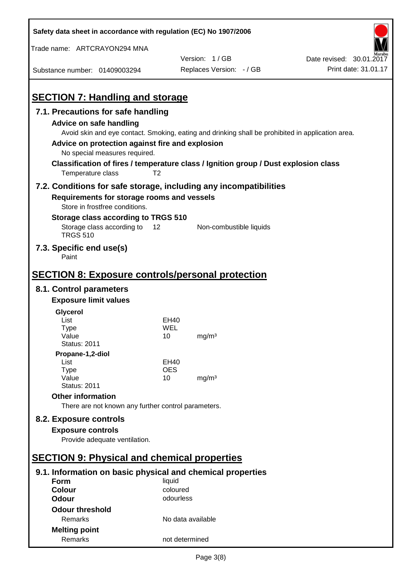| Safety data sheet in accordance with regulation (EC) No 1907/2006                                                                                 |                       |                                                                                                                                                                                          |                          |
|---------------------------------------------------------------------------------------------------------------------------------------------------|-----------------------|------------------------------------------------------------------------------------------------------------------------------------------------------------------------------------------|--------------------------|
| Trade name: ARTCRAYON294 MNA                                                                                                                      |                       |                                                                                                                                                                                          |                          |
|                                                                                                                                                   |                       | Version: 1/GB                                                                                                                                                                            | Date revised: 30.01.2017 |
| Substance number: 01409003294                                                                                                                     |                       | Replaces Version: - / GB                                                                                                                                                                 | Print date: 31.01.17     |
| <b>SECTION 7: Handling and storage</b>                                                                                                            |                       |                                                                                                                                                                                          |                          |
| 7.1. Precautions for safe handling                                                                                                                |                       |                                                                                                                                                                                          |                          |
| Advice on safe handling<br>Advice on protection against fire and explosion<br>No special measures required.                                       |                       | Avoid skin and eye contact. Smoking, eating and drinking shall be prohibited in application area.<br>Classification of fires / temperature class / Ignition group / Dust explosion class |                          |
| Temperature class                                                                                                                                 | T <sub>2</sub>        |                                                                                                                                                                                          |                          |
| 7.2. Conditions for safe storage, including any incompatibilities<br>Requirements for storage rooms and vessels<br>Store in frostfree conditions. |                       |                                                                                                                                                                                          |                          |
| Storage class according to TRGS 510                                                                                                               |                       |                                                                                                                                                                                          |                          |
| Storage class according to<br><b>TRGS 510</b>                                                                                                     | 12                    | Non-combustible liquids                                                                                                                                                                  |                          |
| 7.3. Specific end use(s)<br>Paint                                                                                                                 |                       |                                                                                                                                                                                          |                          |
| <b>SECTION 8: Exposure controls/personal protection</b>                                                                                           |                       |                                                                                                                                                                                          |                          |
| 8.1. Control parameters                                                                                                                           |                       |                                                                                                                                                                                          |                          |
| <b>Exposure limit values</b>                                                                                                                      |                       |                                                                                                                                                                                          |                          |
| Glycerol                                                                                                                                          |                       |                                                                                                                                                                                          |                          |
| List                                                                                                                                              | EH40                  |                                                                                                                                                                                          |                          |
| <b>Type</b>                                                                                                                                       | WEL                   |                                                                                                                                                                                          |                          |
| Value<br><b>Status: 2011</b>                                                                                                                      | 10                    | mg/m <sup>3</sup>                                                                                                                                                                        |                          |
| Propane-1,2-diol                                                                                                                                  |                       |                                                                                                                                                                                          |                          |
| List                                                                                                                                              | <b>EH40</b>           |                                                                                                                                                                                          |                          |
| Type                                                                                                                                              | <b>OES</b>            |                                                                                                                                                                                          |                          |
| Value<br><b>Status: 2011</b>                                                                                                                      | 10                    | mg/m <sup>3</sup>                                                                                                                                                                        |                          |
| <b>Other information</b>                                                                                                                          |                       |                                                                                                                                                                                          |                          |
| There are not known any further control parameters.                                                                                               |                       |                                                                                                                                                                                          |                          |
| 8.2. Exposure controls                                                                                                                            |                       |                                                                                                                                                                                          |                          |
| <b>Exposure controls</b>                                                                                                                          |                       |                                                                                                                                                                                          |                          |
| Provide adequate ventilation.                                                                                                                     |                       |                                                                                                                                                                                          |                          |
|                                                                                                                                                   |                       |                                                                                                                                                                                          |                          |
| <b>SECTION 9: Physical and chemical properties</b>                                                                                                |                       |                                                                                                                                                                                          |                          |
| 9.1. Information on basic physical and chemical properties                                                                                        |                       |                                                                                                                                                                                          |                          |
| <b>Form</b>                                                                                                                                       | liquid                |                                                                                                                                                                                          |                          |
| <b>Colour</b><br><b>Odour</b>                                                                                                                     | coloured<br>odourless |                                                                                                                                                                                          |                          |
|                                                                                                                                                   |                       |                                                                                                                                                                                          |                          |
| <b>Odour threshold</b><br>Remarks                                                                                                                 | No data available     |                                                                                                                                                                                          |                          |
|                                                                                                                                                   |                       |                                                                                                                                                                                          |                          |
| <b>Melting point</b><br>Remarks                                                                                                                   | not determined        |                                                                                                                                                                                          |                          |
|                                                                                                                                                   |                       |                                                                                                                                                                                          |                          |

 $\mathbf{r}$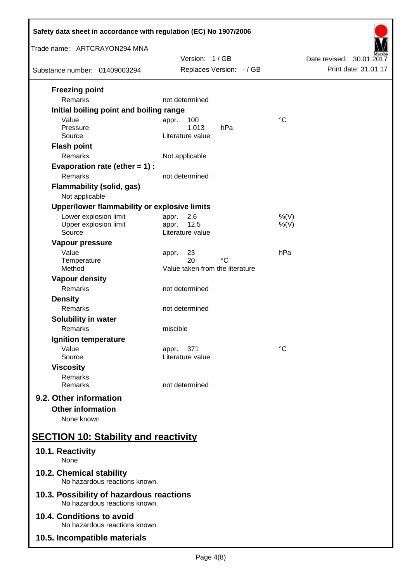| Safety data sheet in accordance with regulation (EC) No 1907/2006         |                                                   |                          |  |  |
|---------------------------------------------------------------------------|---------------------------------------------------|--------------------------|--|--|
| Trade name: ARTCRAYON294 MNA                                              | Version: 1/GB                                     | Date revised: 30.01.2017 |  |  |
| Substance number: 01409003294                                             | Replaces Version: - / GB                          | Print date: 31.01.17     |  |  |
| <b>Freezing point</b><br>Remarks                                          | not determined                                    |                          |  |  |
| Initial boiling point and boiling range<br>Value                          |                                                   | $\rm ^{\circ}C$          |  |  |
| Pressure<br>Source                                                        | 100<br>appr.<br>1.013<br>hPa<br>Literature value  |                          |  |  |
| <b>Flash point</b><br>Remarks                                             | Not applicable                                    |                          |  |  |
| Evaporation rate (ether $= 1$ ) :<br>Remarks                              | not determined                                    |                          |  |  |
| <b>Flammability (solid, gas)</b>                                          |                                                   |                          |  |  |
| Not applicable<br>Upper/lower flammability or explosive limits            |                                                   |                          |  |  |
| Lower explosion limit<br>Upper explosion limit<br>Source                  | 2,6<br>appr.<br>12,5<br>appr.<br>Literature value | %(V)<br>$%$ (V)          |  |  |
| Vapour pressure<br>Value<br>Temperature                                   | 23<br>appr.<br>20<br>°C                           | hPa                      |  |  |
| Method                                                                    | Value taken from the literature                   |                          |  |  |
| <b>Vapour density</b><br>Remarks                                          | not determined                                    |                          |  |  |
| <b>Density</b><br>Remarks                                                 | not determined                                    |                          |  |  |
| Solubility in water<br>Remarks                                            | miscible                                          |                          |  |  |
| Ignition temperature                                                      |                                                   |                          |  |  |
| Value<br>Source                                                           | 371<br>appr.<br>Literature value                  | °C                       |  |  |
| <b>Viscosity</b><br>Remarks<br>Remarks                                    | not determined                                    |                          |  |  |
| 9.2. Other information<br><b>Other information</b><br>None known          |                                                   |                          |  |  |
| <b>SECTION 10: Stability and reactivity</b>                               |                                                   |                          |  |  |
| 10.1. Reactivity<br>None                                                  |                                                   |                          |  |  |
| 10.2. Chemical stability<br>No hazardous reactions known.                 |                                                   |                          |  |  |
| 10.3. Possibility of hazardous reactions<br>No hazardous reactions known. |                                                   |                          |  |  |
| 10.4. Conditions to avoid<br>No hazardous reactions known.                |                                                   |                          |  |  |
| 10.5. Incompatible materials                                              |                                                   |                          |  |  |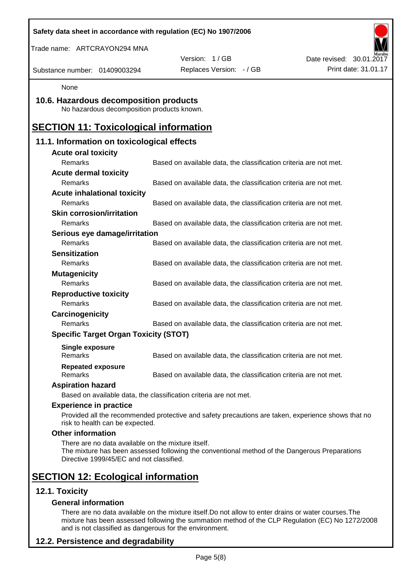| Safety data sheet in accordance with regulation (EC) No 1907/2006                              |                                                                                                    |                          |
|------------------------------------------------------------------------------------------------|----------------------------------------------------------------------------------------------------|--------------------------|
| Trade name: ARTCRAYON294 MNA                                                                   |                                                                                                    |                          |
|                                                                                                | Version: 1/GB                                                                                      | Date revised: 30.01.2017 |
| Substance number: 01409003294                                                                  | Replaces Version: - / GB                                                                           | Print date: 31.01.17     |
| None                                                                                           |                                                                                                    |                          |
| 10.6. Hazardous decomposition products<br>No hazardous decomposition products known.           |                                                                                                    |                          |
| <b>SECTION 11: Toxicological information</b>                                                   |                                                                                                    |                          |
| 11.1. Information on toxicological effects                                                     |                                                                                                    |                          |
| <b>Acute oral toxicity</b>                                                                     |                                                                                                    |                          |
| Remarks                                                                                        | Based on available data, the classification criteria are not met.                                  |                          |
| <b>Acute dermal toxicity</b>                                                                   |                                                                                                    |                          |
| Remarks                                                                                        | Based on available data, the classification criteria are not met.                                  |                          |
| <b>Acute inhalational toxicity</b>                                                             |                                                                                                    |                          |
| Remarks                                                                                        | Based on available data, the classification criteria are not met.                                  |                          |
| <b>Skin corrosion/irritation</b>                                                               |                                                                                                    |                          |
| Remarks                                                                                        | Based on available data, the classification criteria are not met.                                  |                          |
| Serious eye damage/irritation                                                                  |                                                                                                    |                          |
| Remarks                                                                                        | Based on available data, the classification criteria are not met.                                  |                          |
| <b>Sensitization</b>                                                                           |                                                                                                    |                          |
| Remarks                                                                                        | Based on available data, the classification criteria are not met.                                  |                          |
| <b>Mutagenicity</b>                                                                            |                                                                                                    |                          |
| Remarks                                                                                        | Based on available data, the classification criteria are not met.                                  |                          |
| <b>Reproductive toxicity</b>                                                                   |                                                                                                    |                          |
| Remarks                                                                                        | Based on available data, the classification criteria are not met.                                  |                          |
| Carcinogenicity                                                                                |                                                                                                    |                          |
| Remarks                                                                                        | Based on available data, the classification criteria are not met.                                  |                          |
| <b>Specific Target Organ Toxicity (STOT)</b>                                                   |                                                                                                    |                          |
| Single exposure<br>Remarks                                                                     | Based on available data, the classification criteria are not met.                                  |                          |
| <b>Repeated exposure</b><br>Remarks                                                            | Based on available data, the classification criteria are not met.                                  |                          |
| <b>Aspiration hazard</b>                                                                       |                                                                                                    |                          |
|                                                                                                | Based on available data, the classification criteria are not met.                                  |                          |
| <b>Experience in practice</b>                                                                  |                                                                                                    |                          |
| risk to health can be expected.                                                                | Provided all the recommended protective and safety precautions are taken, experience shows that no |                          |
| <b>Other information</b>                                                                       |                                                                                                    |                          |
| There are no data available on the mixture itself.<br>Directive 1999/45/EC and not classified. | The mixture has been assessed following the conventional method of the Dangerous Preparations      |                          |
| <b>SECTION 12: Ecological information</b>                                                      |                                                                                                    |                          |
| 12.1. Toxicity                                                                                 |                                                                                                    |                          |
| <b>General information</b>                                                                     |                                                                                                    |                          |

There are no data available on the mixture itself.Do not allow to enter drains or water courses.The mixture has been assessed following the summation method of the CLP Regulation (EC) No 1272/2008 and is not classified as dangerous for the environment.

## **12.2. Persistence and degradability**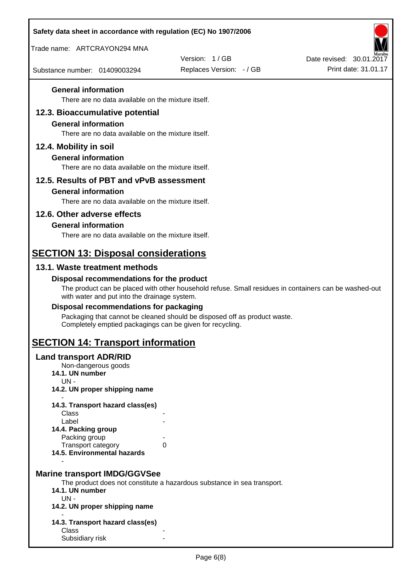| Safety data sheet in accordance with regulation (EC) No 1907/2006                                                   |                                                                                                       |                                                  |
|---------------------------------------------------------------------------------------------------------------------|-------------------------------------------------------------------------------------------------------|--------------------------------------------------|
| Trade name: ARTCRAYON294 MNA                                                                                        |                                                                                                       |                                                  |
| Substance number: 01409003294                                                                                       | Version: 1/GB<br>Replaces Version: - / GB                                                             | Date revised: 30.01.2017<br>Print date: 31.01.17 |
| <b>General information</b>                                                                                          |                                                                                                       |                                                  |
| There are no data available on the mixture itself.                                                                  |                                                                                                       |                                                  |
| 12.3. Bioaccumulative potential<br><b>General information</b><br>There are no data available on the mixture itself. |                                                                                                       |                                                  |
| 12.4. Mobility in soil                                                                                              |                                                                                                       |                                                  |
| <b>General information</b><br>There are no data available on the mixture itself.                                    |                                                                                                       |                                                  |
| 12.5. Results of PBT and vPvB assessment                                                                            |                                                                                                       |                                                  |
| <b>General information</b>                                                                                          |                                                                                                       |                                                  |
| There are no data available on the mixture itself.                                                                  |                                                                                                       |                                                  |
| 12.6. Other adverse effects                                                                                         |                                                                                                       |                                                  |
| <b>General information</b><br>There are no data available on the mixture itself.                                    |                                                                                                       |                                                  |
|                                                                                                                     |                                                                                                       |                                                  |
| <b>SECTION 13: Disposal considerations</b>                                                                          |                                                                                                       |                                                  |
| 13.1. Waste treatment methods                                                                                       |                                                                                                       |                                                  |
| Disposal recommendations for the product<br>with water and put into the drainage system.                            | The product can be placed with other household refuse. Small residues in containers can be washed-out |                                                  |
| Disposal recommendations for packaging                                                                              |                                                                                                       |                                                  |
| Completely emptied packagings can be given for recycling.                                                           | Packaging that cannot be cleaned should be disposed off as product waste.                             |                                                  |
| <b>SECTION 14: Transport information</b>                                                                            |                                                                                                       |                                                  |
| <b>Land transport ADR/RID</b><br>Non-dangerous goods<br>14.1. UN number<br>$UN -$                                   |                                                                                                       |                                                  |
| 14.2. UN proper shipping name                                                                                       |                                                                                                       |                                                  |
| 14.3. Transport hazard class(es)                                                                                    |                                                                                                       |                                                  |
| Class<br>Label                                                                                                      |                                                                                                       |                                                  |
| 14.4. Packing group                                                                                                 |                                                                                                       |                                                  |
| Packing group<br>Transport category                                                                                 | 0                                                                                                     |                                                  |
| 14.5. Environmental hazards                                                                                         |                                                                                                       |                                                  |
| <b>Marine transport IMDG/GGVSee</b><br>14.1. UN number<br>$UN -$<br>14.2. UN proper shipping name                   | The product does not constitute a hazardous substance in sea transport.                               |                                                  |
| 14.3. Transport hazard class(es)                                                                                    |                                                                                                       |                                                  |
| Class                                                                                                               |                                                                                                       |                                                  |
| Subsidiary risk                                                                                                     |                                                                                                       |                                                  |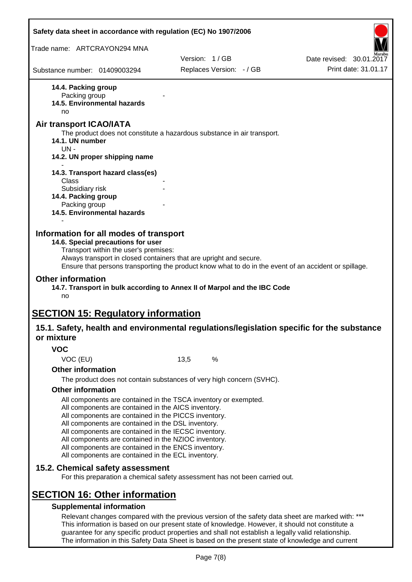| Safety data sheet in accordance with regulation (EC) No 1907/2006                                                                                   |                                                                                                                                                                                                                                                                                                                                                                                                                                                                   |                          |                                                                                                       |
|-----------------------------------------------------------------------------------------------------------------------------------------------------|-------------------------------------------------------------------------------------------------------------------------------------------------------------------------------------------------------------------------------------------------------------------------------------------------------------------------------------------------------------------------------------------------------------------------------------------------------------------|--------------------------|-------------------------------------------------------------------------------------------------------|
| Trade name: ARTCRAYON294 MNA                                                                                                                        |                                                                                                                                                                                                                                                                                                                                                                                                                                                                   |                          |                                                                                                       |
|                                                                                                                                                     |                                                                                                                                                                                                                                                                                                                                                                                                                                                                   | Version: 1/GB            | Date revised: 30.01.2017                                                                              |
| Substance number: 01409003294                                                                                                                       |                                                                                                                                                                                                                                                                                                                                                                                                                                                                   | Replaces Version: - / GB | Print date: 31.01.17                                                                                  |
| 14.4. Packing group<br>Packing group<br>14.5. Environmental hazards<br>no                                                                           |                                                                                                                                                                                                                                                                                                                                                                                                                                                                   |                          |                                                                                                       |
| <b>Air transport ICAO/IATA</b><br>The product does not constitute a hazardous substance in air transport.<br>14.1. UN number                        |                                                                                                                                                                                                                                                                                                                                                                                                                                                                   |                          |                                                                                                       |
| UN-<br>14.2. UN proper shipping name                                                                                                                |                                                                                                                                                                                                                                                                                                                                                                                                                                                                   |                          |                                                                                                       |
| 14.3. Transport hazard class(es)<br>Class                                                                                                           |                                                                                                                                                                                                                                                                                                                                                                                                                                                                   |                          |                                                                                                       |
| Subsidiary risk<br>14.4. Packing group<br>Packing group<br>14.5. Environmental hazards                                                              |                                                                                                                                                                                                                                                                                                                                                                                                                                                                   |                          |                                                                                                       |
| Transport within the user's premises:<br><b>Other information</b><br>14.7. Transport in bulk according to Annex II of Marpol and the IBC Code<br>no | Always transport in closed containers that are upright and secure.                                                                                                                                                                                                                                                                                                                                                                                                |                          | Ensure that persons transporting the product know what to do in the event of an accident or spillage. |
| <b>SECTION 15: Regulatory information</b>                                                                                                           |                                                                                                                                                                                                                                                                                                                                                                                                                                                                   |                          |                                                                                                       |
| 15.1. Safety, health and environmental regulations/legislation specific for the substance<br>or mixture                                             |                                                                                                                                                                                                                                                                                                                                                                                                                                                                   |                          |                                                                                                       |
| <b>VOC</b>                                                                                                                                          |                                                                                                                                                                                                                                                                                                                                                                                                                                                                   |                          |                                                                                                       |
| VOC (EU)                                                                                                                                            | 13,5                                                                                                                                                                                                                                                                                                                                                                                                                                                              | $\%$                     |                                                                                                       |
| <b>Other information</b>                                                                                                                            |                                                                                                                                                                                                                                                                                                                                                                                                                                                                   |                          |                                                                                                       |
|                                                                                                                                                     | The product does not contain substances of very high concern (SVHC).                                                                                                                                                                                                                                                                                                                                                                                              |                          |                                                                                                       |
| <b>Other information</b>                                                                                                                            | All components are contained in the TSCA inventory or exempted.<br>All components are contained in the AICS inventory.<br>All components are contained in the PICCS inventory.<br>All components are contained in the DSL inventory.<br>All components are contained in the IECSC inventory.<br>All components are contained in the NZIOC inventory.<br>All components are contained in the ENCS inventory.<br>All components are contained in the ECL inventory. |                          |                                                                                                       |
| 15.2. Chemical safety assessment                                                                                                                    | For this preparation a chemical safety assessment has not been carried out.                                                                                                                                                                                                                                                                                                                                                                                       |                          |                                                                                                       |
| <b>SECTION 16: Other information</b><br><b>Supplemental information</b>                                                                             | Relevant changes compared with the previous version of the safety data sheet are marked with: ***<br>This information is based on our present state of knowledge. However, it should not constitute a<br>guarantee for any specific product properties and shall not establish a legally valid relationship.                                                                                                                                                      |                          |                                                                                                       |

The information in this Safety Data Sheet is based on the present state of knowledge and current